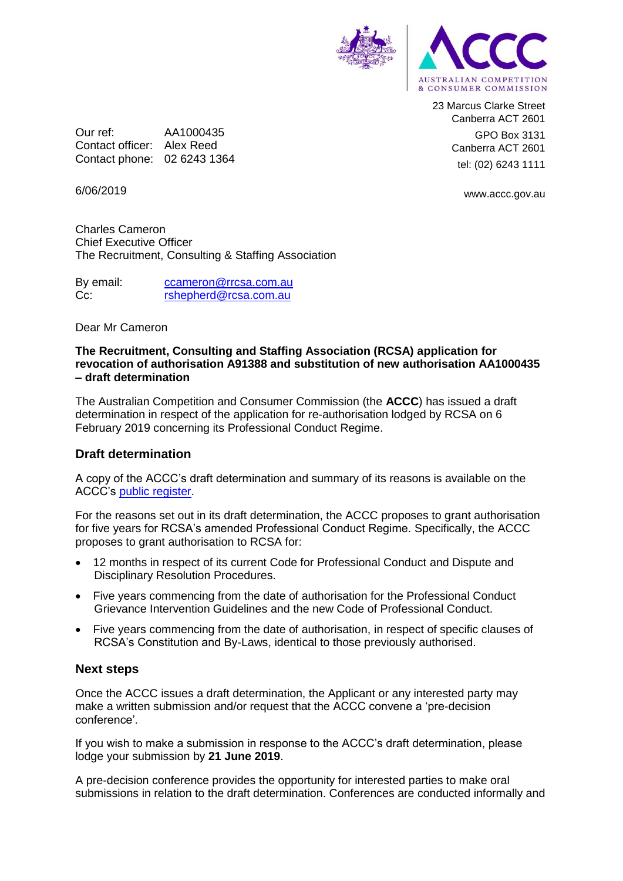

23 Marcus Clarke Street Canberra ACT 2601 GPO Box 3131 Canberra ACT 2601 tel: (02) 6243 1111

6/06/2019

Our ref: AA1000435 Contact officer: Alex Reed Contact phone: 02 6243 1364

www.accc.gov.au

Charles Cameron Chief Executive Officer The Recruitment, Consulting & Staffing Association

By email: [ccameron@rrcsa.com.au](mailto:ccameron@rrcsa.com.au)

Cc: [rshepherd@rcsa.com.au](mailto:rshepherd@rcsa.com.au)

#### Dear Mr Cameron

#### **The Recruitment, Consulting and Staffing Association (RCSA) application for revocation of authorisation A91388 and substitution of new authorisation AA1000435 – draft determination**

The Australian Competition and Consumer Commission (the **ACCC**) has issued a draft determination in respect of the application for re-authorisation lodged by RCSA on 6 February 2019 concerning its Professional Conduct Regime.

## **Draft determination**

A copy of the ACCC's draft determination and summary of its reasons is available on the ACCC's [public register.](https://www.accc.gov.au/public-registers/authorisations-and-notifications-registers/authorisations-register/recruitment-consulting-staffing-association)

For the reasons set out in its draft determination, the ACCC proposes to grant authorisation for five years for RCSA's amended Professional Conduct Regime. Specifically, the ACCC proposes to grant authorisation to RCSA for:

- 12 months in respect of its current Code for Professional Conduct and Dispute and Disciplinary Resolution Procedures.
- Five years commencing from the date of authorisation for the Professional Conduct Grievance Intervention Guidelines and the new Code of Professional Conduct.
- Five years commencing from the date of authorisation, in respect of specific clauses of RCSA's Constitution and By-Laws, identical to those previously authorised.

## **Next steps**

Once the ACCC issues a draft determination, the Applicant or any interested party may make a written submission and/or request that the ACCC convene a 'pre-decision conference'.

If you wish to make a submission in response to the ACCC's draft determination, please lodge your submission by **21 June 2019**.

A pre-decision conference provides the opportunity for interested parties to make oral submissions in relation to the draft determination. Conferences are conducted informally and